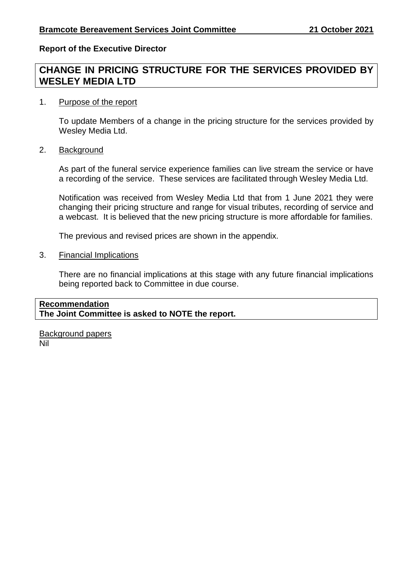## **Report of the Executive Director**

# **CHANGE IN PRICING STRUCTURE FOR THE SERVICES PROVIDED BY WESLEY MEDIA LTD**

#### 1. Purpose of the report

To update Members of a change in the pricing structure for the services provided by Wesley Media Ltd.

2. Background

As part of the funeral service experience families can live stream the service or have a recording of the service. These services are facilitated through Wesley Media Ltd.

Notification was received from Wesley Media Ltd that from 1 June 2021 they were changing their pricing structure and range for visual tributes, recording of service and a webcast. It is believed that the new pricing structure is more affordable for families.

The previous and revised prices are shown in the appendix.

3. Financial Implications

There are no financial implications at this stage with any future financial implications being reported back to Committee in due course.

# **Recommendation The Joint Committee is asked to NOTE the report.**

Background papers Nil